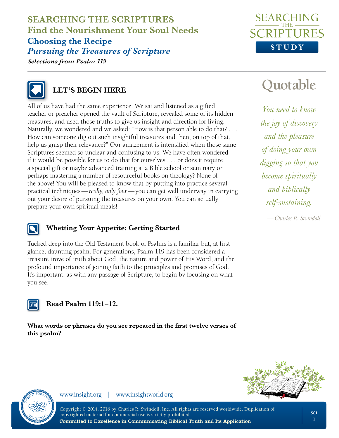**SEARCHING THE SCRIPTURES Find the Nourishment Your Soul Needs Choosing the Recipe** *Pursuing the Treasures of Scripture Selections from Psalm 119*





### **LET'S BEGIN HERE**

All of us have had the same experience. We sat and listened as a gifted teacher or preacher opened the vault of Scripture, revealed some of its hidden treasures, and used those truths to give us insight and direction for living. Naturally, we wondered and we asked: "How is that person able to do that? . . . How can someone dig out such insightful treasures and then, on top of that, help us grasp their relevance?" Our amazement is intensified when those same Scriptures seemed so unclear and confusing to us. We have often wondered if it would be possible for us to do that for ourselves . . . or does it require a special gift or maybe advanced training at a Bible school or seminary or perhaps mastering a number of resourceful books on theology? None of the above! You will be pleased to know that by putting into practice several practical techniques—*really, only four*—you can get well underway in carrying out your desire of pursuing the treasures on your own. You can actually prepare your own spiritual meals!

### **Whetting Your Appetite: Getting Started**

Tucked deep into the Old Testament book of Psalms is a familiar but, at first glance, daunting psalm. For generations, Psalm 119 has been considered a treasure trove of truth about God, the nature and power of His Word, and the profound importance of joining faith to the principles and promises of God. It's important, as with any passage of Scripture, to begin by focusing on what you see.



#### **Read Psalm 119:1–12.**

**What words or phrases do you see repeated in the first twelve verses of this psalm?** 

# **Quotable**

*You need to know the joy of discovery and the pleasure of doing your own digging so that you become spiritually and biblically self-sustaining.*

*—Charles R. Swindoll*





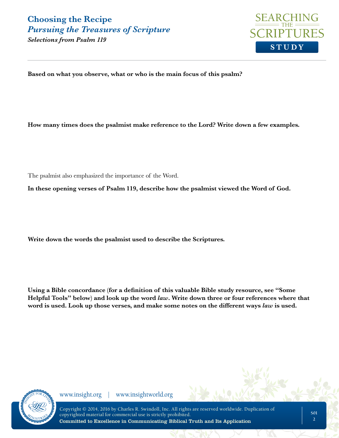**STUDY**

*Selections from Psalm 119*

**Based on what you observe, what or who is the main focus of this psalm?** 

**How many times does the psalmist make reference to the Lord? Write down a few examples.**

The psalmist also emphasized the importance of the Word.

**In these opening verses of Psalm 119, describe how the psalmist viewed the Word of God.**

**Write down the words the psalmist used to describe the Scriptures.** 

**Using a Bible concordance (for a definition of this valuable Bible study resource, see "Some Helpful Tools" below) and look up the word** *law***. Write down three or four references where that word is used. Look up those verses, and make some notes on the different ways** *law* **is used.** 

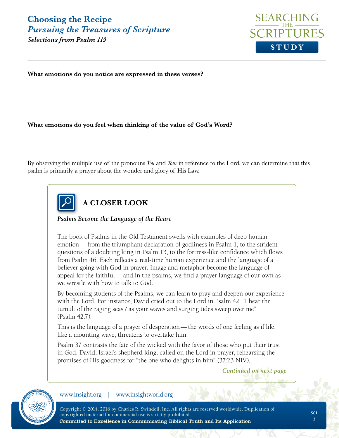*Selections from Psalm 119*



**What emotions do you notice are expressed in these verses?**

#### **What emotions do you feel when thinking of the value of God's Word?**

By observing the multiple use of the pronouns *You* and *Your* in reference to the Lord, we can determine that this psalm is primarily a prayer about the wonder and glory of His Law.



**A CLOSER LOOK**

*Psalms Become the Language of the Heart*

The book of Psalms in the Old Testament swells with examples of deep human emotion—from the triumphant declaration of godliness in Psalm 1, to the strident questions of a doubting king in Psalm 13, to the fortress-like confidence which flows from Psalm 46. Each reflects a real-time human experience and the language of a believer going with God in prayer. Image and metaphor become the language of appeal for the faithful—and in the psalms, we find a prayer language of our own as we wrestle with how to talk to God.

By becoming students of the Psalms, we can learn to pray and deepen our experience with the Lord. For instance, David cried out to the Lord in Psalm 42: "I hear the tumult of the raging seas / as your waves and surging tides sweep over me" (Psalm 42:7).

This is the language of a prayer of desperation—the words of one feeling as if life, like a mounting wave, threatens to overtake him.

Psalm 37 contrasts the fate of the wicked with the favor of those who put their trust in God. David, Israel's shepherd king, called on the Lord in prayer, rehearsing the promises of His goodness for "the one who delights in him" (37:23 NIV).

*Continued on next page*

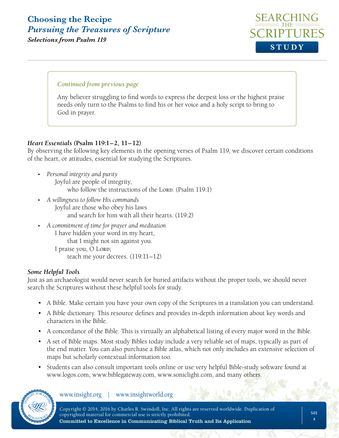*Selections from Psalm 119*



#### *Continued from previous page*

Any believer struggling to find words to express the deepest loss or the highest praise needs only turn to the Psalms to find his or her voice and a holy script to bring to God in prayer.

#### *Heart Essentials* **(Psalm 119:1–2, 11–12)**

By observing the following key elements in the opening verses of Psalm 119, we discover certain conditions of the heart, or attitudes, essential for studying the Scriptures.

- *Personal integrity and purity* Joyful are people of integrity, who follow the instructions of the LORD.  $(Psalm 119:1)$
- *A willingness to follow His commands* Joyful are those who obey his laws and search for him with all their hearts. (119:2)
- *A commitment of time for prayer and meditation* I have hidden your word in my heart, that I might not sin against you. I praise you, O Lord; teach me your decrees. (119:11–12)

#### *Some Helpful Tools*

Just as an archaeologist would never search for buried artifacts without the proper tools, we should never search the Scriptures without these helpful tools for study.

- A Bible. Make certain you have your own copy of the Scriptures in a translation you can understand.
- A Bible dictionary. This resource defines and provides in-depth information about key words and characters in the Bible.
- A concordance of the Bible. This is virtually an alphabetical listing of every major word in the Bible.
- A set of Bible maps. Most study Bibles today include a very reliable set of maps, typically as part of the end matter. You can also purchase a Bible atlas, which not only includes an extensive selection of maps but scholarly contextual information too.
- Students can also consult important tools online or use very helpful Bible-study software found at www.logos.com, www.biblegateway.com, www.soniclight.com, and many others.

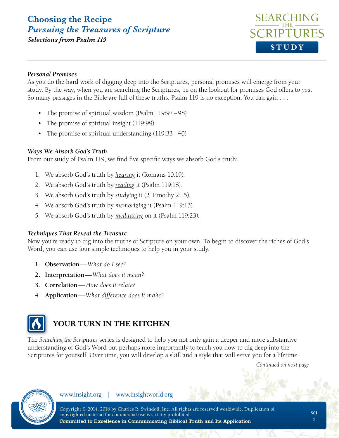

#### *Personal Promises*

As you do the hard work of digging deep into the Scriptures, personal promises will emerge from your study. By the way, when you are searching the Scriptures, be on the lookout for promises God offers to *you*. So many passages in the Bible are full of these truths. Psalm 119 is no exception. You can gain . . .

- The promise of spiritual wisdom (Psalm 119:97–98)
- The promise of spiritual insight (119:99)
- The promise of spiritual understanding (119:33–40)

#### *Ways We Absorb God's Truth*

From our study of Psalm 119, we find five specific ways we absorb God's truth:

- 1. We absorb God's truth by *hearing* it (Romans 10:19).
- 2. We absorb God's truth by *reading* it (Psalm 119:18).
- 3. We absorb God's truth by *studying* it (2 Timothy 2:15).
- 4. We absorb God's truth by *memorizing* it (Psalm 119:13).
- 5. We absorb God's truth by *meditating* on it (Psalm 119:23).

#### *Techniques That Reveal the Treasure*

Now you're ready to dig into the truths of Scripture on your own. To begin to discover the riches of God's Word, you can use four simple techniques to help you in your study.

- **1. Observation***—What do I see?*
- **2. Interpretation***—What does it mean?*
- **3. Correlation***— How does it relate?*
- **4. Application***—What difference does it make?*



### **YOUR TURN IN THE KITCHEN**

The *Searching the Scriptures* series is designed to help you not only gain a deeper and more substantive understanding of God's Word but perhaps more importantly to teach you how to dig deep into the Scriptures for yourself. Over time, you will develop a skill and a style that will serve you for a lifetime.

*Continued on next page*

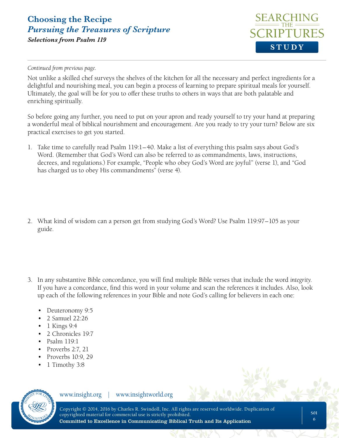### **Choosing the Recipe** *Pursuing the Treasures of Scripture Selections from Psalm 119*



*Continued from previous page.*

Not unlike a skilled chef surveys the shelves of the kitchen for all the necessary and perfect ingredients for a delightful and nourishing meal, you can begin a process of learning to prepare spiritual meals for yourself. Ultimately, the goal will be for you to offer these truths to others in ways that are both palatable and enriching spiritually.

So before going any further, you need to put on your apron and ready yourself to try your hand at preparing a wonderful meal of biblical nourishment and encouragement. Are you ready to try your turn? Below are six practical exercises to get you started.

- 1. Take time to carefully read Psalm 119:1–40. Make a list of everything this psalm says about God's Word. (Remember that God's Word can also be referred to as commandments, laws, instructions, decrees, and regulations.) For example, "People who obey God's Word are joyful" (verse 1), and "God has charged us to obey His commandments" (verse 4).
- 2. What kind of wisdom can a person get from studying God's Word? Use Psalm 119:97–105 as your guide.
- 3. In any substantive Bible concordance, you will find multiple Bible verses that include the word *integrity*. If you have a concordance, find this word in your volume and scan the references it includes. Also, look up each of the following references in your Bible and note God's calling for believers in each one:
	- Deuteronomy 9:5
	- 2 Samuel 22:26
	- 1 Kings 9:4
	- 2 Chronicles 19:7
	- Psalm 119:1
	- Proverbs 2:7, 21
	- Proverbs 10:9, 29
	- 1 Timothy 3:8

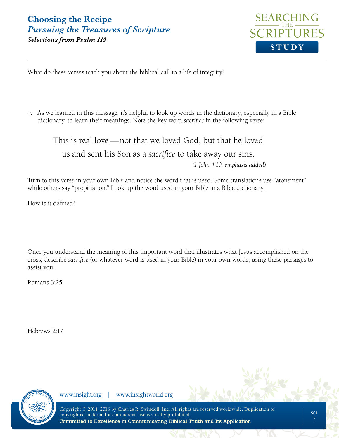### **Choosing the Recipe** *Pursuing the Treasures of Scripture Selections from Psalm 119*



What do these verses teach you about the biblical call to a life of integrity?

4. As we learned in this message, it's helpful to look up words in the dictionary, especially in a Bible dictionary, to learn their meanings. Note the key word *sacrifice* in the following verse:

This is real love—not that we loved God, but that he loved us and sent his Son as a *sacrifice* to take away our sins. *(1 John 4:10, emphasis added)*

Turn to this verse in your own Bible and notice the word that is used. Some translations use "atonement" while others say "propitiation." Look up the word used in your Bible in a Bible dictionary.

How is it defined?

Once you understand the meaning of this important word that illustrates what Jesus accomplished on the cross, describe *sacrifice* (or whatever word is used in your Bible) in your own words, using these passages to assist you.

Romans 3:25

Hebrews 2:17

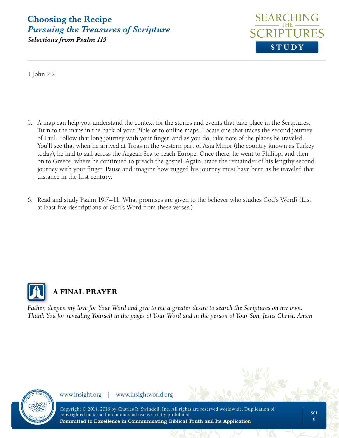

*Selections from Psalm 119*

1 John 2:2

- 5. A map can help you understand the context for the stories and events that take place in the Scriptures. Turn to the maps in the back of your Bible or to online maps. Locate one that traces the second journey of Paul. Follow that long journey with your finger, and as you do, take note of the places he traveled. You'll see that when he arrived at Troas in the western part of Asia Minor (the country known as Turkey today), he had to sail across the Aegean Sea to reach Europe. Once there, he went to Philippi and then on to Greece, where he continued to preach the gospel. Again, trace the remainder of his lengthy second journey with your finger. Pause and imagine how rugged his journey must have been as he traveled that distance in the first century.
- 6. Read and study Psalm 19:7–11. What promises are given to the believer who studies God's Word? (List at least five descriptions of God's Word from these verses.)



### **A FINAL PRAYER**

*Father, deepen my love for Your Word and give to me a greater desire to search the Scriptures on my own. Thank You for revealing Yourself in the pages of Your Word and in the person of Your Son, Jesus Christ. Amen.*